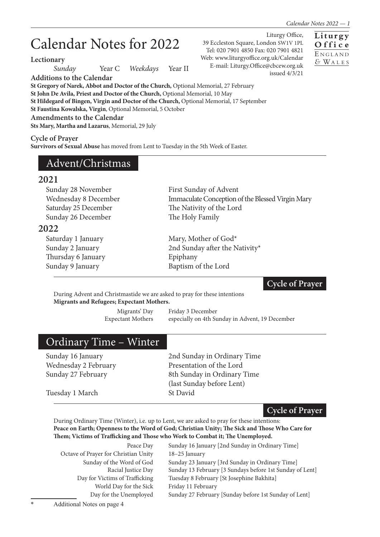**Liturgy O f f i c e** E <sup>N</sup> <sup>G</sup> <sup>L</sup> <sup>A</sup> <sup>N</sup> <sup>D</sup> *&* WA <sup>L</sup> <sup>E</sup> <sup>S</sup>

Liturgy Office,

issued 4/3/21

39 Eccleston Square, London SW1V 1PL Tel: 020 7901 4850 Fax: 020 7901 4821 Web: www.liturgyoffice.org.uk/Calendar E-mail: Liturgy.Office@cbcew.org.uk

# Calendar Notes for 2022

**Lectionary**

*Sunday* Year C *Weekdays* Year II

**Additions to the Calendar**

**St Gregory of Narek, Abbot and Doctor of the Church,** Optional Memorial, 27 February **St John De Avila, Priest and Doctor of the Church,** Optional Memorial, 10 May **St Hildegard of Bingen, Virgin and Doctor of the Church,** Optional Memorial, 17 September **St Faustina Kowalska, Virgin**, Optional Memorial, 5 October **Amendments to the Calendar Sts Mary, Martha and Lazarus**, Memorial, 29 July

**Cycle of Prayer**

**Survivors of Sexual Abuse** has moved from Lent to Tuesday in the 5th Week of Easter.

## Advent/Christmas

#### **2021**

| Sunday 28 November   | First Sunday of Advent                           |
|----------------------|--------------------------------------------------|
| Wednesday 8 December | Immaculate Conception of the Blessed Virgin Mary |
| Saturday 25 December | The Nativity of the Lord                         |
| Sunday 26 December   | The Holy Family                                  |
| 2022                 |                                                  |
| Saturday 1 January   | Mary, Mother of God*                             |
| Sunday 2 January     | 2nd Sunday after the Nativity*                   |
| Thursday 6 January   | Epiphany                                         |
| Sunday 9 January     | Baptism of the Lord                              |
|                      |                                                  |

#### **Cycle of Prayer**

During Advent and Christmastide we are asked to pray for these intentions **Migrants and Refugees; Expectant Mothers.**

Migrants' Day Friday 3 December Expectant Mothers especially on 4th Sunday in Advent, 19 December

## Ordinary Time – Winter

Wednesday 2 February Presentation of the Lord

Sunday 16 January 2nd Sunday in Ordinary Time Sunday 27 February 8th Sunday in Ordinary Time (last Sunday before Lent)

Tuesday 1 March St David

**Cycle of Prayer**

During Ordinary Time (Winter), i.e. up to Lent, we are asked to pray for these intentions: **Peace on Earth; Openness to the Word of God; Christian Unity; The Sick and Those Who Care for Them; Victims of Trafficking and Those who Work to Combat it; The Unemployed.**

| Peace Day                            | Sunday 16 January [2nd Sunday in Ordinary Time]          |
|--------------------------------------|----------------------------------------------------------|
| Octave of Prayer for Christian Unity | 18-25 January                                            |
| Sunday of the Word of God            | Sunday 23 January [3rd Sunday in Ordinary Time]          |
| Racial Justice Day                   | Sunday 13 February [3 Sundays before 1st Sunday of Lent] |
| Day for Victims of Trafficking       | Tuesday 8 February [St Josephine Bakhita]                |
| World Day for the Sick               | Friday 11 February                                       |
| Day for the Unemployed               | Sunday 27 February [Sunday before 1st Sunday of Lent]    |
|                                      |                                                          |

Additional Notes on page 4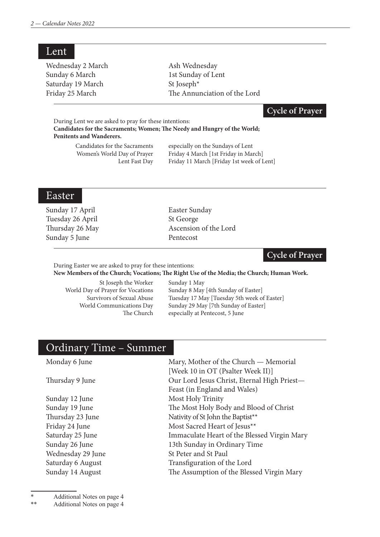| Lent              |                              |
|-------------------|------------------------------|
| Wednesday 2 March | Ash Wednesday                |
| Sunday 6 March    | 1st Sunday of Lent           |
| Saturday 19 March | St Joseph <sup>*</sup>       |
| Friday 25 March   | The Annunciation of the Lord |
|                   |                              |

### **Cycle of Prayer**

During Lent we are asked to pray for these intentions: **Candidates for the Sacraments; Women; The Needy and Hungry of the World; Penitents and Wanderers.**

 Candidates for the Sacraments especially on the Sundays of Lent Women's World Day of Prayer Friday 4 March [1st Friday in March] Lent Fast Day Friday 11 March [Friday 1st week of Lent]

### Easter

Sunday 17 April Easter Sunday Tuesday 26 April St George Sunday 5 June Pentecost

Thursday 26 May Ascension of the Lord

**Cycle of Prayer**

During Easter we are asked to pray for these intentions:

**New Members of the Church; Vocations; The Right Use of the Media; the Church; Human Work.**

St Joseph the Worker Sunday 1 May<br>
World Dav of Praver for Vocations Sunday 8 May

Day of Prayer for Vocations Sunday 8 May [4th Sunday of Easter]<br>Survivors of Sexual Abuse Tuesday 17 May [Tuesday 5th week of Tuesday 17 May [Tuesday 5th week of Easter] World Communications Day Sunday 29 May [7th Sunday of Easter] The Church especially at Pentecost, 5 June

# Ordinary Time – Summer

| Mary, Mother of the Church — Memorial       |
|---------------------------------------------|
| [Week 10 in OT (Psalter Week II)]           |
| Our Lord Jesus Christ, Eternal High Priest- |
| Feast (in England and Wales)                |
| Most Holy Trinity                           |
| The Most Holy Body and Blood of Christ      |
| Nativity of St John the Baptist**           |
| Most Sacred Heart of Jesus**                |
| Immaculate Heart of the Blessed Virgin Mary |
| 13th Sunday in Ordinary Time                |
| St Peter and St Paul                        |
| Transfiguration of the Lord                 |
| The Assumption of the Blessed Virgin Mary   |
|                                             |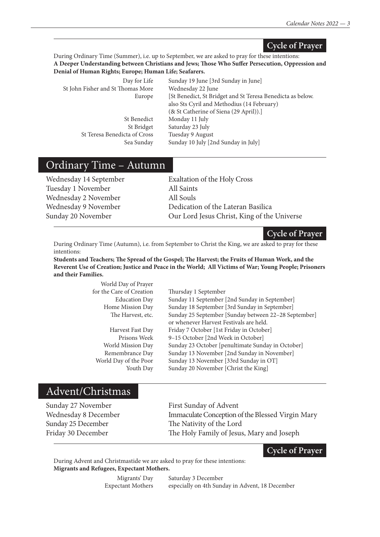#### **Cycle of Prayer**

During Ordinary Time (Summer), i.e. up to September, we are asked to pray for these intentions: **A Deeper Understanding between Christians and Jews; Those Who Suffer Persecution, Oppression and Denial of Human Rights; Europe; Human Life; Seafarers.**

| Day for Life                      | Sunday 19 June [3rd Sunday in June]                        |
|-----------------------------------|------------------------------------------------------------|
| St John Fisher and St Thomas More | Wednesday 22 June                                          |
| Europe                            | [St Benedict, St Bridget and St Teresa Benedicta as below. |
|                                   | also Sts Cyril and Methodius (14 February)                 |
|                                   | (& St Catherine of Siena (29 April)).]                     |
| St Benedict                       | Monday 11 July                                             |
| St Bridget                        | Saturday 23 July                                           |
| St Teresa Benedicta of Cross      | Tuesday 9 August                                           |
| Sea Sunday                        | Sunday 10 July [2nd Sunday in July]                        |
|                                   |                                                            |

## Ordinary Time – Autumn

| Wednesday 14 September |
|------------------------|
| Tuesday 1 November     |
| Wednesday 2 November   |
| Wednesday 9 November   |
| Sunday 20 November     |

Exaltation of the Holy Cross All Saints All Souls Dedication of the Lateran Basilica Our Lord Jesus Christ, King of the Universe

**Cycle of Prayer**

During Ordinary Time (Autumn), i.e. from September to Christ the King, we are asked to pray for these intentions:

**Students and Teachers; The Spread of the Gospel; The Harvest; the Fruits of Human Work, and the Reverent Use of Creation; Justice and Peace in the World; All Victims of War; Young People; Prisoners and their Families.**  $W<sub>11</sub>$  Day of Prayers  $P<sub>1</sub>$ 

| world Day of Prayer      |                                                      |
|--------------------------|------------------------------------------------------|
| for the Care of Creation | Thursday 1 September                                 |
| <b>Education Day</b>     | Sunday 11 September [2nd Sunday in September]        |
| Home Mission Day         | Sunday 18 September [3rd Sunday in September]        |
| The Harvest, etc.        | Sunday 25 September [Sunday between 22-28 September] |
|                          | or whenever Harvest Festivals are held.              |
| Harvest Fast Day         | Friday 7 October [1st Friday in October]             |
| Prisons Week             | 9-15 October [2nd Week in October]                   |
| World Mission Day        | Sunday 23 October [penultimate Sunday in October]    |
| Remembrance Day          | Sunday 13 November [2nd Sunday in November]          |
| World Day of the Poor    | Sunday 13 November [33rd Sunday in OT]               |
| Youth Day                | Sunday 20 November [Christ the King]                 |
|                          |                                                      |

## Advent/Christmas

Sunday 27 November First Sunday of Advent Wednesday 8 December Immaculate Conception of the Blessed Virgin Mary Sunday 25 December The Nativity of the Lord Friday 30 December The Holy Family of Jesus, Mary and Joseph

**Cycle of Prayer**

During Advent and Christmastide we are asked to pray for these intentions: **Migrants and Refugees, Expectant Mothers.**

> Migrants' Day Saturday 3 December Expectant Mothers especially on 4th Sunday in Advent, 18 December